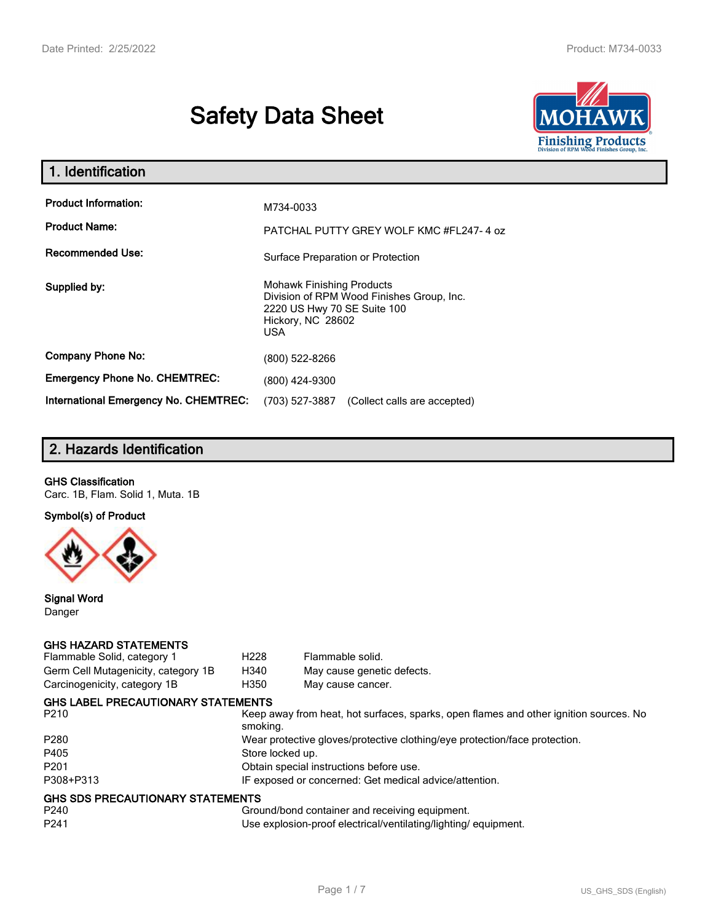# **Safety Data Sheet**



| 1. Identification                            |                                                                                                                                                 |  |
|----------------------------------------------|-------------------------------------------------------------------------------------------------------------------------------------------------|--|
| <b>Product Information:</b>                  | M734-0033                                                                                                                                       |  |
| <b>Product Name:</b>                         | PATCHAL PUTTY GREY WOLF KMC #FL247-4 oz                                                                                                         |  |
| <b>Recommended Use:</b>                      | Surface Preparation or Protection                                                                                                               |  |
| Supplied by:                                 | <b>Mohawk Finishing Products</b><br>Division of RPM Wood Finishes Group, Inc.<br>2220 US Hwy 70 SE Suite 100<br>Hickory, NC 28602<br><b>USA</b> |  |
| <b>Company Phone No:</b>                     | (800) 522-8266                                                                                                                                  |  |
| <b>Emergency Phone No. CHEMTREC:</b>         | (800) 424-9300                                                                                                                                  |  |
| <b>International Emergency No. CHEMTREC:</b> | (703) 527-3887<br>(Collect calls are accepted)                                                                                                  |  |

# **2. Hazards Identification**

#### **GHS Classification**

Carc. 1B, Flam. Solid 1, Muta. 1B

**Symbol(s) of Product**



**Signal Word** Danger

#### **GHS HAZARD STATEMENTS**

| Flammable Solid, category 1         | H <sub>228</sub>                                                           | Flammable solid.                                                                      |  |
|-------------------------------------|----------------------------------------------------------------------------|---------------------------------------------------------------------------------------|--|
| Germ Cell Mutagenicity, category 1B | H340                                                                       | May cause genetic defects.                                                            |  |
| Carcinogenicity, category 1B        | H350                                                                       | May cause cancer.                                                                     |  |
| GHS LABEL PRECAUTIONARY STATEMENTS  |                                                                            |                                                                                       |  |
| P210                                | smoking.                                                                   | Keep away from heat, hot surfaces, sparks, open flames and other ignition sources. No |  |
| P280                                | Wear protective gloves/protective clothing/eye protection/face protection. |                                                                                       |  |
| P405                                | Store locked up.                                                           |                                                                                       |  |
| P201                                | Obtain special instructions before use.                                    |                                                                                       |  |
| P308+P313                           | IF exposed or concerned: Get medical advice/attention.                     |                                                                                       |  |
| GHS SDS PRECAUTIONARY STATEMENTS    |                                                                            |                                                                                       |  |
| P240                                |                                                                            | Ground/bond container and receiving equipment.                                        |  |
| P241                                |                                                                            | Use explosion-proof electrical/ventilating/lighting/equipment.                        |  |
|                                     |                                                                            |                                                                                       |  |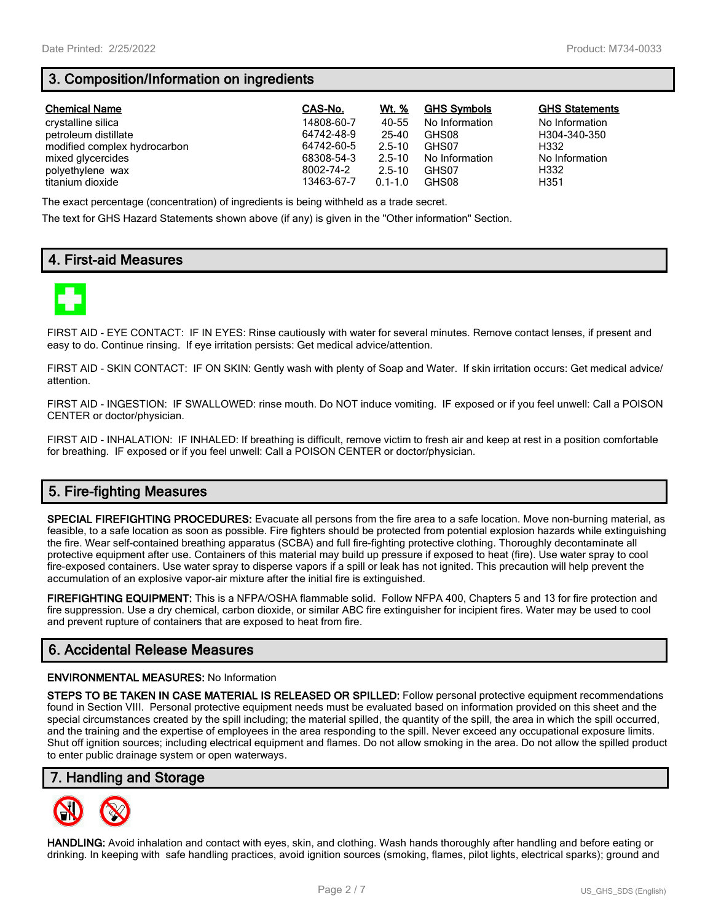# **3. Composition/Information on ingredients**

| <b>Chemical Name</b>         | CAS-No.    | Wt. %       | <b>GHS Symbols</b> | <b>GHS Statements</b> |
|------------------------------|------------|-------------|--------------------|-----------------------|
| crystalline silica           | 14808-60-7 | 40-55       | No Information     | No Information        |
| petroleum distillate         | 64742-48-9 | 25-40       | GHS08              | H304-340-350          |
| modified complex hydrocarbon | 64742-60-5 | $2.5 - 10$  | GHS07              | H332                  |
| mixed glycercides            | 68308-54-3 | $2.5 - 10$  | No Information     | No Information        |
| polyethylene wax             | 8002-74-2  | $2.5 - 10$  | GHS07              | H332                  |
| titanium dioxide             | 13463-67-7 | $0.1 - 1.0$ | GHS08              | H351                  |

The exact percentage (concentration) of ingredients is being withheld as a trade secret.

The text for GHS Hazard Statements shown above (if any) is given in the "Other information" Section.

## **4. First-aid Measures**



FIRST AID - EYE CONTACT: IF IN EYES: Rinse cautiously with water for several minutes. Remove contact lenses, if present and easy to do. Continue rinsing. If eye irritation persists: Get medical advice/attention.

FIRST AID - SKIN CONTACT: IF ON SKIN: Gently wash with plenty of Soap and Water. If skin irritation occurs: Get medical advice/ attention.

FIRST AID - INGESTION: IF SWALLOWED: rinse mouth. Do NOT induce vomiting. IF exposed or if you feel unwell: Call a POISON CENTER or doctor/physician.

FIRST AID - INHALATION: IF INHALED: If breathing is difficult, remove victim to fresh air and keep at rest in a position comfortable for breathing. IF exposed or if you feel unwell: Call a POISON CENTER or doctor/physician.

## **5. Fire-fighting Measures**

**SPECIAL FIREFIGHTING PROCEDURES:** Evacuate all persons from the fire area to a safe location. Move non-burning material, as feasible, to a safe location as soon as possible. Fire fighters should be protected from potential explosion hazards while extinguishing the fire. Wear self-contained breathing apparatus (SCBA) and full fire-fighting protective clothing. Thoroughly decontaminate all protective equipment after use. Containers of this material may build up pressure if exposed to heat (fire). Use water spray to cool fire-exposed containers. Use water spray to disperse vapors if a spill or leak has not ignited. This precaution will help prevent the accumulation of an explosive vapor-air mixture after the initial fire is extinguished.

**FIREFIGHTING EQUIPMENT:** This is a NFPA/OSHA flammable solid. Follow NFPA 400, Chapters 5 and 13 for fire protection and fire suppression. Use a dry chemical, carbon dioxide, or similar ABC fire extinguisher for incipient fires. Water may be used to cool and prevent rupture of containers that are exposed to heat from fire.

## **6. Accidental Release Measures**

#### **ENVIRONMENTAL MEASURES:** No Information

**STEPS TO BE TAKEN IN CASE MATERIAL IS RELEASED OR SPILLED:** Follow personal protective equipment recommendations found in Section VIII. Personal protective equipment needs must be evaluated based on information provided on this sheet and the special circumstances created by the spill including; the material spilled, the quantity of the spill, the area in which the spill occurred, and the training and the expertise of employees in the area responding to the spill. Never exceed any occupational exposure limits. Shut off ignition sources; including electrical equipment and flames. Do not allow smoking in the area. Do not allow the spilled product to enter public drainage system or open waterways.

## **7. Handling and Storage**



**HANDLING:** Avoid inhalation and contact with eyes, skin, and clothing. Wash hands thoroughly after handling and before eating or drinking. In keeping with safe handling practices, avoid ignition sources (smoking, flames, pilot lights, electrical sparks); ground and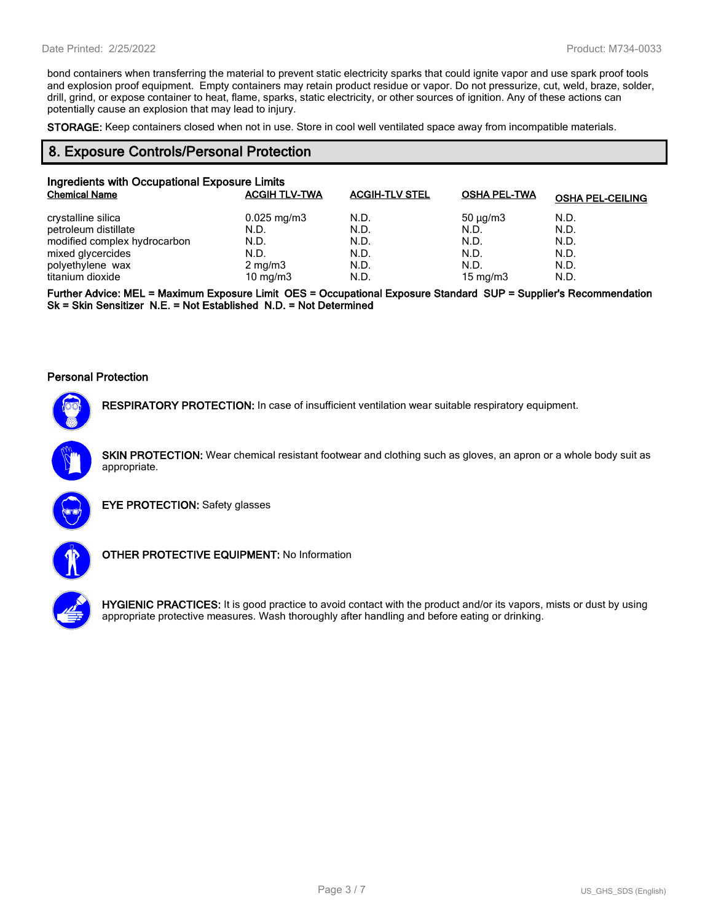bond containers when transferring the material to prevent static electricity sparks that could ignite vapor and use spark proof tools and explosion proof equipment. Empty containers may retain product residue or vapor. Do not pressurize, cut, weld, braze, solder, drill, grind, or expose container to heat, flame, sparks, static electricity, or other sources of ignition. Any of these actions can potentially cause an explosion that may lead to injury.

**STORAGE:** Keep containers closed when not in use. Store in cool well ventilated space away from incompatible materials.

## **8. Exposure Controls/Personal Protection**

| Ingredients with Occupational Exposure Limits |                         |                       |                     |                         |
|-----------------------------------------------|-------------------------|-----------------------|---------------------|-------------------------|
| <b>Chemical Name</b>                          | <b>ACGIH TLV-TWA</b>    | <b>ACGIH-TLV STEL</b> | <b>OSHA PEL-TWA</b> | <b>OSHA PEL-CEILING</b> |
| crystalline silica                            | $0.025 \,\mathrm{mg/m}$ | N.D.                  | $50 \mu q/m3$       | N.D.                    |
| petroleum distillate                          | N.D.                    | N.D.                  | N.D.                | N.D.                    |
| modified complex hydrocarbon                  | N.D.                    | N.D.                  | N.D.                | N.D.                    |
| mixed glycercides                             | N.D.                    | N.D.                  | N.D.                | N.D.                    |
| polyethylene wax                              | $2 \text{ mg/m}$ 3      | N.D.                  | N.D.                | N.D.                    |
| titanium dioxide                              | 10 mg/m $3$             | N.D.                  | 15 mg/m $3$         | N.D.                    |

**Further Advice: MEL = Maximum Exposure Limit OES = Occupational Exposure Standard SUP = Supplier's Recommendation Sk = Skin Sensitizer N.E. = Not Established N.D. = Not Determined**

#### **Personal Protection**



**RESPIRATORY PROTECTION:** In case of insufficient ventilation wear suitable respiratory equipment.

**SKIN PROTECTION:** Wear chemical resistant footwear and clothing such as gloves, an apron or a whole body suit as appropriate.



**EYE PROTECTION:** Safety glasses



**OTHER PROTECTIVE EQUIPMENT:** No Information



**HYGIENIC PRACTICES:** It is good practice to avoid contact with the product and/or its vapors, mists or dust by using appropriate protective measures. Wash thoroughly after handling and before eating or drinking.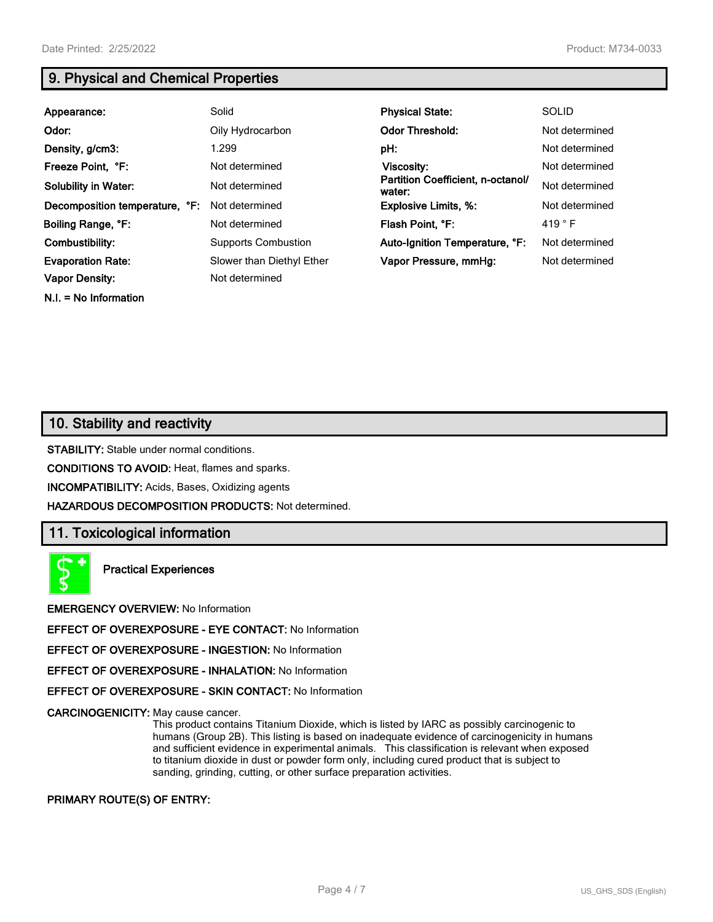**N.I. = No Information**

## **9. Physical and Chemical Properties**

| Appearance:                    | Solid                      | <b>Physical State:</b>                      | <b>SOLID</b>    |
|--------------------------------|----------------------------|---------------------------------------------|-----------------|
| Odor:                          | Oily Hydrocarbon           | <b>Odor Threshold:</b>                      | Not determined  |
| Density, g/cm3:                | 1.299                      | pH:                                         | Not determined  |
| Freeze Point, °F:              | Not determined             | <b>Viscosity:</b>                           | Not determined  |
| <b>Solubility in Water:</b>    | Not determined             | Partition Coefficient, n-octanol/<br>water: | Not determined  |
| Decomposition temperature, °F: | Not determined             | <b>Explosive Limits, %:</b>                 | Not determined  |
| Boiling Range, °F:             | Not determined             | Flash Point, °F:                            | 419 $\degree$ F |
| Combustibility:                | <b>Supports Combustion</b> | Auto-Ignition Temperature, °F:              | Not determined  |
| <b>Evaporation Rate:</b>       | Slower than Diethyl Ether  | Vapor Pressure, mmHq:                       | Not determined  |
| <b>Vapor Density:</b>          | Not determined             |                                             |                 |

## **10. Stability and reactivity**

**STABILITY:** Stable under normal conditions.

**CONDITIONS TO AVOID:** Heat, flames and sparks.

**INCOMPATIBILITY:** Acids, Bases, Oxidizing agents

**HAZARDOUS DECOMPOSITION PRODUCTS:** Not determined.

## **11. Toxicological information**

**Practical Experiences**

**EMERGENCY OVERVIEW:** No Information

**EFFECT OF OVEREXPOSURE - EYE CONTACT:** No Information

**EFFECT OF OVEREXPOSURE - INGESTION:** No Information

**EFFECT OF OVEREXPOSURE - INHALATION:** No Information

**EFFECT OF OVEREXPOSURE - SKIN CONTACT:** No Information

**CARCINOGENICITY:** May cause cancer.

This product contains Titanium Dioxide, which is listed by IARC as possibly carcinogenic to humans (Group 2B). This listing is based on inadequate evidence of carcinogenicity in humans and sufficient evidence in experimental animals. This classification is relevant when exposed to titanium dioxide in dust or powder form only, including cured product that is subject to sanding, grinding, cutting, or other surface preparation activities.

**PRIMARY ROUTE(S) OF ENTRY:**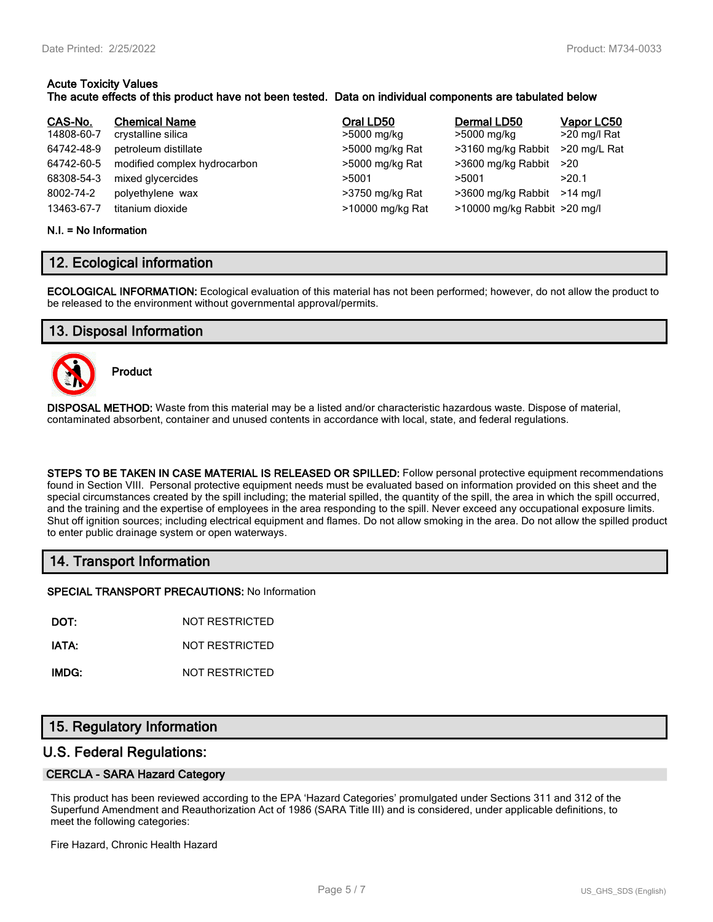#### **Acute Toxicity Values The acute effects of this product have not been tested. Data on individual components are tabulated below**

| CAS-No.    | <b>Chemical Name</b>         | Oral LD50        | Dermal LD50                  | Vapor LC50   |
|------------|------------------------------|------------------|------------------------------|--------------|
| 14808-60-7 | crystalline silica           | >5000 mg/kg      | >5000 mg/kg                  | >20 mg/l Rat |
| 64742-48-9 | petroleum distillate         | >5000 mg/kg Rat  | >3160 mg/kg Rabbit           | >20 mg/L Rat |
| 64742-60-5 | modified complex hydrocarbon | >5000 mg/kg Rat  | >3600 mg/kg Rabbit           | >20          |
| 68308-54-3 | mixed glycercides            | >5001            | >5001                        | >20.1        |
| 8002-74-2  | polyethylene wax             | >3750 mg/kg Rat  | >3600 mg/kg Rabbit           | >14 ma/l     |
| 13463-67-7 | titanium dioxide             | >10000 mg/kg Rat | >10000 mg/kg Rabbit >20 mg/l |              |

#### **N.I. = No Information**

## **12. Ecological information**

**ECOLOGICAL INFORMATION:** Ecological evaluation of this material has not been performed; however, do not allow the product to be released to the environment without governmental approval/permits.

## **13. Disposal Information**



**Product**

**DISPOSAL METHOD:** Waste from this material may be a listed and/or characteristic hazardous waste. Dispose of material, contaminated absorbent, container and unused contents in accordance with local, state, and federal regulations.

**STEPS TO BE TAKEN IN CASE MATERIAL IS RELEASED OR SPILLED:** Follow personal protective equipment recommendations found in Section VIII. Personal protective equipment needs must be evaluated based on information provided on this sheet and the special circumstances created by the spill including; the material spilled, the quantity of the spill, the area in which the spill occurred, and the training and the expertise of employees in the area responding to the spill. Never exceed any occupational exposure limits. Shut off ignition sources; including electrical equipment and flames. Do not allow smoking in the area. Do not allow the spilled product to enter public drainage system or open waterways.

## **14. Transport Information**

**SPECIAL TRANSPORT PRECAUTIONS:** No Information

**DOT:** NOT RESTRICTED

**IATA:** NOT RESTRICTED

**IMDG:** NOT RESTRICTED

## **15. Regulatory Information**

## **U.S. Federal Regulations:**

#### **CERCLA - SARA Hazard Category**

This product has been reviewed according to the EPA 'Hazard Categories' promulgated under Sections 311 and 312 of the Superfund Amendment and Reauthorization Act of 1986 (SARA Title III) and is considered, under applicable definitions, to meet the following categories:

Fire Hazard, Chronic Health Hazard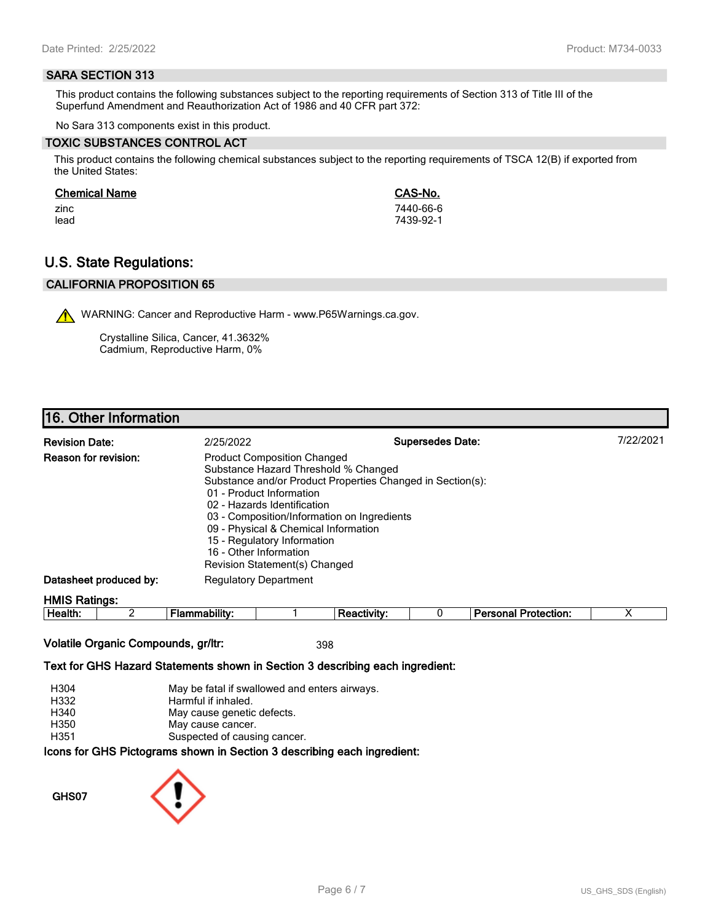#### **SARA SECTION 313**

This product contains the following substances subject to the reporting requirements of Section 313 of Title III of the Superfund Amendment and Reauthorization Act of 1986 and 40 CFR part 372:

No Sara 313 components exist in this product.

#### **TOXIC SUBSTANCES CONTROL ACT**

This product contains the following chemical substances subject to the reporting requirements of TSCA 12(B) if exported from the United States:

#### **Chemical Name CAS-No.**

zinc 7440-66-6 lead 7439-92-1

## **U.S. State Regulations:**

## **CALIFORNIA PROPOSITION 65**

WARNING: Cancer and Reproductive Harm - www.P65Warnings.ca.gov.

Crystalline Silica, Cancer, 41.3632% Cadmium, Reproductive Harm, 0%

## **16. Other Information**

| <b>Revision Date:</b>       | 2/25/2022                                                                                                                                                                                                                                                                                                              | <b>Supersedes Date:</b>                                    | 7/22/2021 |
|-----------------------------|------------------------------------------------------------------------------------------------------------------------------------------------------------------------------------------------------------------------------------------------------------------------------------------------------------------------|------------------------------------------------------------|-----------|
| <b>Reason for revision:</b> | <b>Product Composition Changed</b><br>Substance Hazard Threshold % Changed<br>01 - Product Information<br>02 - Hazards Identification<br>03 - Composition/Information on Ingredients<br>09 - Physical & Chemical Information<br>15 - Regulatory Information<br>16 - Other Information<br>Revision Statement(s) Changed | Substance and/or Product Properties Changed in Section(s): |           |
| Datasheet produced by:      | <b>Regulatory Department</b>                                                                                                                                                                                                                                                                                           |                                                            |           |
| <b>HMIS Ratings:</b>        |                                                                                                                                                                                                                                                                                                                        |                                                            |           |

| . .<br>.<br>. TP<br><br>. .<br> |  | --- | m<br> |  |
|---------------------------------|--|-----|-------|--|
|                                 |  |     |       |  |

#### **Volatile Organic Compounds, gr/ltr:** 398

#### **Text for GHS Hazard Statements shown in Section 3 describing each ingredient:**

| H304 | May be fatal if swallowed and enters airways.                   |
|------|-----------------------------------------------------------------|
| H332 | Harmful if inhaled.                                             |
| H340 | May cause genetic defects.                                      |
| H350 | May cause cancer.                                               |
| H351 | Suspected of causing cancer.                                    |
|      | cons for GHS Pictograms shown in Section 3 describing each ingr |

## **Icons for GHS Pictograms shown in Section 3 describing each ingredient:**

**GHS07**